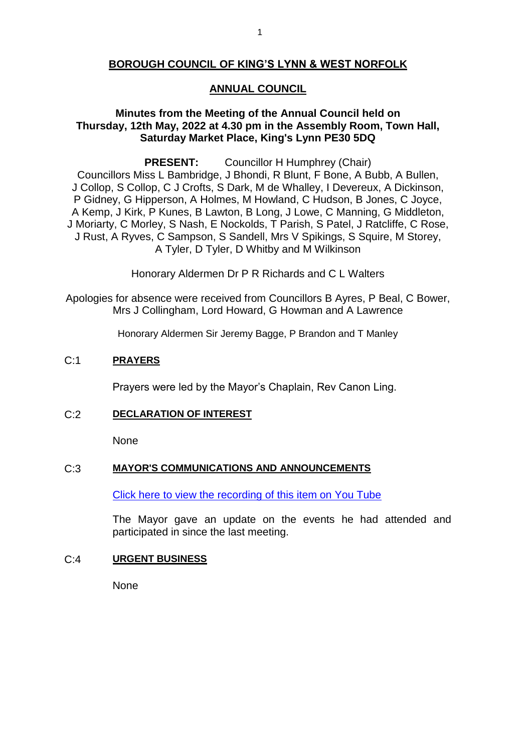## **BOROUGH COUNCIL OF KING'S LYNN & WEST NORFOLK**

## **ANNUAL COUNCIL**

## **Minutes from the Meeting of the Annual Council held on Thursday, 12th May, 2022 at 4.30 pm in the Assembly Room, Town Hall, Saturday Market Place, King's Lynn PE30 5DQ**

**PRESENT:** Councillor H Humphrey (Chair) Councillors Miss L Bambridge, J Bhondi, R Blunt, F Bone, A Bubb, A Bullen, J Collop, S Collop, C J Crofts, S Dark, M de Whalley, I Devereux, A Dickinson, P Gidney, G Hipperson, A Holmes, M Howland, C Hudson, B Jones, C Joyce, A Kemp, J Kirk, P Kunes, B Lawton, B Long, J Lowe, C Manning, G Middleton, J Moriarty, C Morley, S Nash, E Nockolds, T Parish, S Patel, J Ratcliffe, C Rose, J Rust, A Ryves, C Sampson, S Sandell, Mrs V Spikings, S Squire, M Storey, A Tyler, D Tyler, D Whitby and M Wilkinson

Honorary Aldermen Dr P R Richards and C L Walters

Apologies for absence were received from Councillors B Ayres, P Beal, C Bower, Mrs J Collingham, Lord Howard, G Howman and A Lawrence

Honorary Aldermen Sir Jeremy Bagge, P Brandon and T Manley

## C:1 **PRAYERS**

Prayers were led by the Mayor's Chaplain, Rev Canon Ling.

## C:2 **DECLARATION OF INTEREST**

None

## C:3 **MAYOR'S COMMUNICATIONS AND ANNOUNCEMENTS**

[Click here to view the recording of this item on You Tube](https://youtu.be/CKVG7DDA4iA?t=254)

The Mayor gave an update on the events he had attended and participated in since the last meeting.

## C:4 **URGENT BUSINESS**

None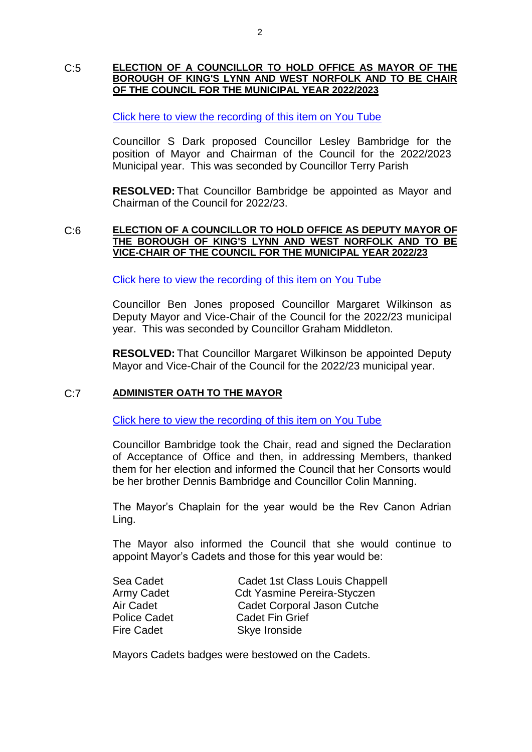#### C:5 **ELECTION OF A COUNCILLOR TO HOLD OFFICE AS MAYOR OF THE BOROUGH OF KING'S LYNN AND WEST NORFOLK AND TO BE CHAIR OF THE COUNCIL FOR THE MUNICIPAL YEAR 2022/2023**

## [Click here to view the recording of this item on You Tube](https://youtu.be/CKVG7DDA4iA?t=318)

Councillor S Dark proposed Councillor Lesley Bambridge for the position of Mayor and Chairman of the Council for the 2022/2023 Municipal year. This was seconded by Councillor Terry Parish

**RESOLVED:** That Councillor Bambridge be appointed as Mayor and Chairman of the Council for 2022/23.

#### C:6 **ELECTION OF A COUNCILLOR TO HOLD OFFICE AS DEPUTY MAYOR OF THE BOROUGH OF KING'S LYNN AND WEST NORFOLK AND TO BE VICE-CHAIR OF THE COUNCIL FOR THE MUNICIPAL YEAR 2022/23**

[Click here to view the recording of this item on You Tube](https://youtu.be/CKVG7DDA4iA?t=732)

Councillor Ben Jones proposed Councillor Margaret Wilkinson as Deputy Mayor and Vice-Chair of the Council for the 2022/23 municipal year. This was seconded by Councillor Graham Middleton.

**RESOLVED:** That Councillor Margaret Wilkinson be appointed Deputy Mayor and Vice-Chair of the Council for the 2022/23 municipal year.

## C:7 **ADMINISTER OATH TO THE MAYOR**

[Click here to view the recording of this item on You Tube](https://youtu.be/CKVG7DDA4iA?t=1452)

Councillor Bambridge took the Chair, read and signed the Declaration of Acceptance of Office and then, in addressing Members, thanked them for her election and informed the Council that her Consorts would be her brother Dennis Bambridge and Councillor Colin Manning.

The Mayor's Chaplain for the year would be the Rev Canon Adrian Ling.

The Mayor also informed the Council that she would continue to appoint Mayor's Cadets and those for this year would be:

| Sea Cadet           | Cadet 1st Class Louis Chappell     |
|---------------------|------------------------------------|
| Army Cadet          | <b>Cdt Yasmine Pereira-Styczen</b> |
| Air Cadet           | Cadet Corporal Jason Cutche        |
| <b>Police Cadet</b> | <b>Cadet Fin Grief</b>             |
| <b>Fire Cadet</b>   | Skye Ironside                      |
|                     |                                    |

Mayors Cadets badges were bestowed on the Cadets.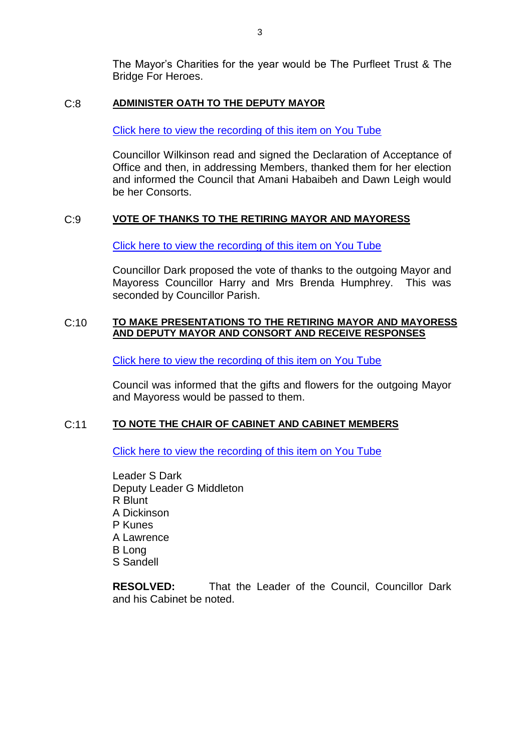The Mayor's Charities for the year would be The Purfleet Trust & The Bridge For Heroes.

## C:8 **ADMINISTER OATH TO THE DEPUTY MAYOR**

[Click here to view the recording of this item on You Tube](https://youtu.be/CKVG7DDA4iA?t=1513)

Councillor Wilkinson read and signed the Declaration of Acceptance of Office and then, in addressing Members, thanked them for her election and informed the Council that Amani Habaibeh and Dawn Leigh would be her Consorts.

## C:9 **VOTE OF THANKS TO THE RETIRING MAYOR AND MAYORESS**

[Click here to view the recording of this item on You Tube](https://youtu.be/CKVG7DDA4iA?t=2295)

Councillor Dark proposed the vote of thanks to the outgoing Mayor and Mayoress Councillor Harry and Mrs Brenda Humphrey. This was seconded by Councillor Parish.

### C:10 **TO MAKE PRESENTATIONS TO THE RETIRING MAYOR AND MAYORESS AND DEPUTY MAYOR AND CONSORT AND RECEIVE RESPONSES**

[Click here to view the recording of this item on You Tube](https://youtu.be/CKVG7DDA4iA?t=2722)

Council was informed that the gifts and flowers for the outgoing Mayor and Mayoress would be passed to them.

## C:11 **TO NOTE THE CHAIR OF CABINET AND CABINET MEMBERS**

[Click here to view the recording of this item on You Tube](https://youtu.be/CKVG7DDA4iA?t=3547)

Leader S Dark Deputy Leader G Middleton R Blunt A Dickinson P Kunes A Lawrence B Long S Sandell

**RESOLVED:** That the Leader of the Council, Councillor Dark and his Cabinet be noted.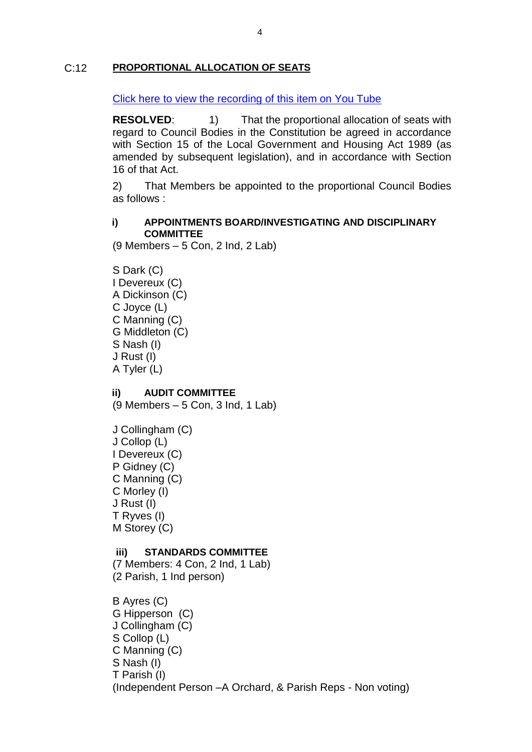## C:12 **PROPORTIONAL ALLOCATION OF SEATS**

[Click here to view the recording of this item on You Tube](https://youtu.be/CKVG7DDA4iA?t=3557)

**RESOLVED:** 1) That the proportional allocation of seats with regard to Council Bodies in the Constitution be agreed in accordance with Section 15 of the Local Government and Housing Act 1989 (as amended by subsequent legislation), and in accordance with Section 16 of that Act.

2) That Members be appointed to the proportional Council Bodies as follows :

### **i) APPOINTMENTS BOARD/INVESTIGATING AND DISCIPLINARY COMMITTEE**

(9 Members – 5 Con, 2 Ind, 2 Lab)

S Dark (C) I Devereux (C) A Dickinson (C) C Joyce (L) C Manning (C) G Middleton (C) S Nash (I) J Rust (I) A Tyler (L)

**ii) AUDIT COMMITTEE**

(9 Members – 5 Con, 3 Ind, 1 Lab)

J Collingham (C) J Collop (L) I Devereux (C) P Gidney (C) C Manning (C) C Morley (I) J Rust (I) T Ryves (I) M Storey (C)

## **iii) STANDARDS COMMITTEE**

(7 Members: 4 Con, 2 Ind, 1 Lab) (2 Parish, 1 Ind person)

B Ayres (C) G Hipperson (C) J Collingham (C) S Collop (L) C Manning (C) S Nash (I) T Parish (I) (Independent Person –A Orchard, & Parish Reps - Non voting)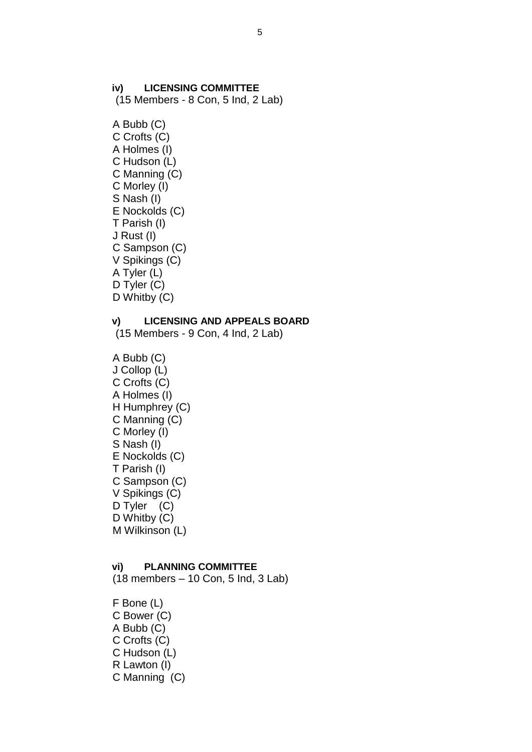#### **iv) LICENSING COMMITTEE**

(15 Members - 8 Con, 5 Ind, 2 Lab)

A Bubb (C) C Crofts (C) A Holmes (I) C Hudson (L) C Manning (C) C Morley (I) S Nash (I) E Nockolds (C) T Parish (I) J Rust (I) C Sampson (C) V Spikings (C) A Tyler (L) D Tyler (C) D Whitby (C)

#### **v) LICENSING AND APPEALS BOARD**

(15 Members - 9 Con, 4 Ind, 2 Lab)

A Bubb (C) J Collop (L) C Crofts (C) A Holmes (I) H Humphrey (C) C Manning (C) C Morley (I) S Nash (I) E Nockolds (C) T Parish (I) C Sampson (C) V Spikings (C) D Tyler (C) D Whitby (C) M Wilkinson (L)

#### **vi) PLANNING COMMITTEE**

(18 members – 10 Con, 5 Ind, 3 Lab)

F Bone (L) C Bower (C) A Bubb (C) C Crofts (C) C Hudson (L) R Lawton (I) C Manning (C)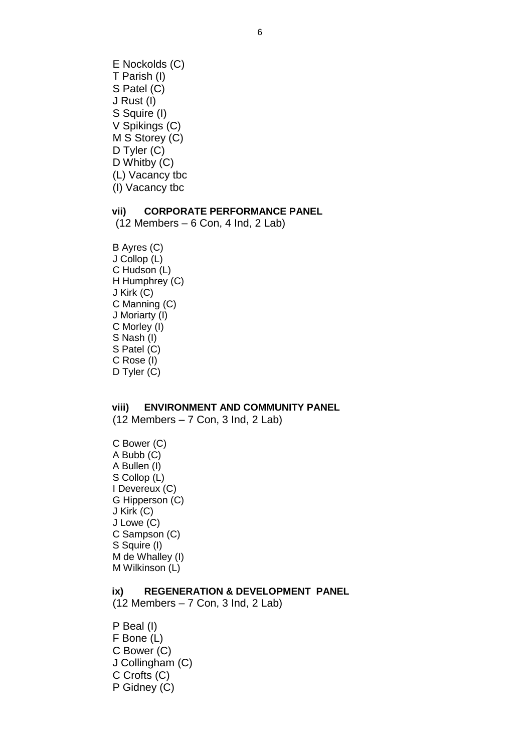E Nockolds (C) T Parish (I) S Patel (C) J Rust (I) S Squire (I) V Spikings (C) M S Storey (C) D Tyler (C) D Whitby (C) (L) Vacancy tbc (I) Vacancy tbc

## **vii) CORPORATE PERFORMANCE PANEL**

(12 Members – 6 Con, 4 Ind, 2 Lab)

B Ayres (C) J Collop (L) C Hudson (L) H Humphrey (C) J Kirk (C) C Manning (C) J Moriarty (I) C Morley (I) S Nash (I) S Patel (C) C Rose (I) D Tyler (C)

#### **viii) ENVIRONMENT AND COMMUNITY PANEL**

(12 Members – 7 Con, 3 Ind, 2 Lab)

C Bower (C) A Bubb (C) A Bullen (I) S Collop (L) I Devereux (C) G Hipperson (C) J Kirk (C) J Lowe (C) C Sampson (C) S Squire (I) M de Whalley (I) M Wilkinson (L)

## **ix) REGENERATION & DEVELOPMENT PANEL**

(12 Members – 7 Con, 3 Ind, 2 Lab)

P Beal (I) F Bone (L) C Bower (C) J Collingham (C) C Crofts (C) P Gidney (C)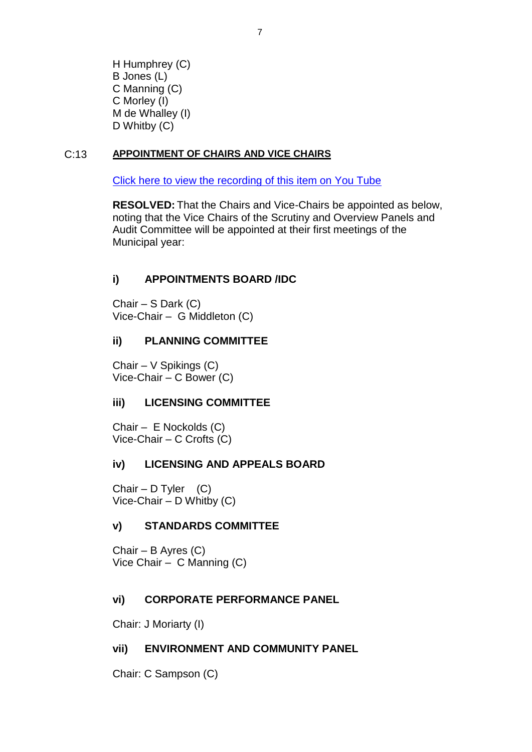H Humphrey (C) B Jones (L) C Manning (C) C Morley (I) M de Whalley (I) D Whitby (C)

# C:13 **APPOINTMENT OF CHAIRS AND VICE CHAIRS**

[Click here to view the recording of this item on You Tube](https://youtu.be/CKVG7DDA4iA?t=3586)

**RESOLVED:** That the Chairs and Vice-Chairs be appointed as below, noting that the Vice Chairs of the Scrutiny and Overview Panels and Audit Committee will be appointed at their first meetings of the Municipal year:

# **i) APPOINTMENTS BOARD /IDC**

Chair – S Dark (C) Vice-Chair – G Middleton (C)

# **ii) PLANNING COMMITTEE**

Chair – V Spikings (C) Vice-Chair – C Bower (C)

## **iii) LICENSING COMMITTEE**

Chair – E Nockolds (C) Vice-Chair – C Crofts (C)

## **iv) LICENSING AND APPEALS BOARD**

Chair – D Tyler  $(C)$ Vice-Chair – D Whitby (C)

## **v) STANDARDS COMMITTEE**

Chair – B Ayres (C) Vice Chair – C Manning (C)

## **vi) CORPORATE PERFORMANCE PANEL**

Chair: J Moriarty (I)

## **vii) ENVIRONMENT AND COMMUNITY PANEL**

Chair: C Sampson (C)